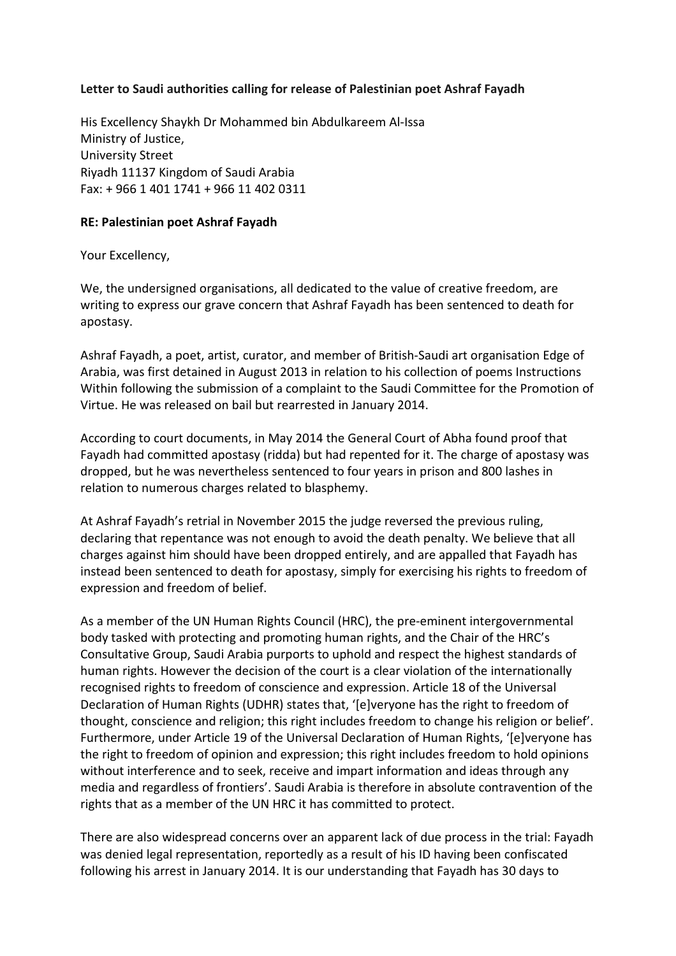## **Letter to Saudi authorities calling for release of Palestinian poet Ashraf Fayadh**

His Excellency Shaykh Dr Mohammed bin Abdulkareem Al-Issa Ministry of Justice, University Street Riyadh 11137 Kingdom of Saudi Arabia Fax: + 966 1 401 1741 + 966 11 402 0311

## **RE: Palestinian poet Ashraf Fayadh**

Your Excellency,

We, the undersigned organisations, all dedicated to the value of creative freedom, are writing to express our grave concern that Ashraf Fayadh has been sentenced to death for apostasy.

Ashraf Fayadh, a poet, artist, curator, and member of British-Saudi art organisation Edge of Arabia, was first detained in August 2013 in relation to his collection of poems Instructions Within following the submission of a complaint to the Saudi Committee for the Promotion of Virtue. He was released on bail but rearrested in January 2014.

According to court documents, in May 2014 the General Court of Abha found proof that Fayadh had committed apostasy (ridda) but had repented for it. The charge of apostasy was dropped, but he was nevertheless sentenced to four years in prison and 800 lashes in relation to numerous charges related to blasphemy.

At Ashraf Fayadh's retrial in November 2015 the judge reversed the previous ruling, declaring that repentance was not enough to avoid the death penalty. We believe that all charges against him should have been dropped entirely, and are appalled that Fayadh has instead been sentenced to death for apostasy, simply for exercising his rights to freedom of expression and freedom of belief.

As a member of the UN Human Rights Council (HRC), the pre-eminent intergovernmental body tasked with protecting and promoting human rights, and the Chair of the HRC's Consultative Group, Saudi Arabia purports to uphold and respect the highest standards of human rights. However the decision of the court is a clear violation of the internationally recognised rights to freedom of conscience and expression. Article 18 of the Universal Declaration of Human Rights (UDHR) states that, '[e]veryone has the right to freedom of thought, conscience and religion; this right includes freedom to change his religion or belief'. Furthermore, under Article 19 of the Universal Declaration of Human Rights, '[e]veryone has the right to freedom of opinion and expression; this right includes freedom to hold opinions without interference and to seek, receive and impart information and ideas through any media and regardless of frontiers'. Saudi Arabia is therefore in absolute contravention of the rights that as a member of the UN HRC it has committed to protect.

There are also widespread concerns over an apparent lack of due process in the trial: Fayadh was denied legal representation, reportedly as a result of his ID having been confiscated following his arrest in January 2014. It is our understanding that Fayadh has 30 days to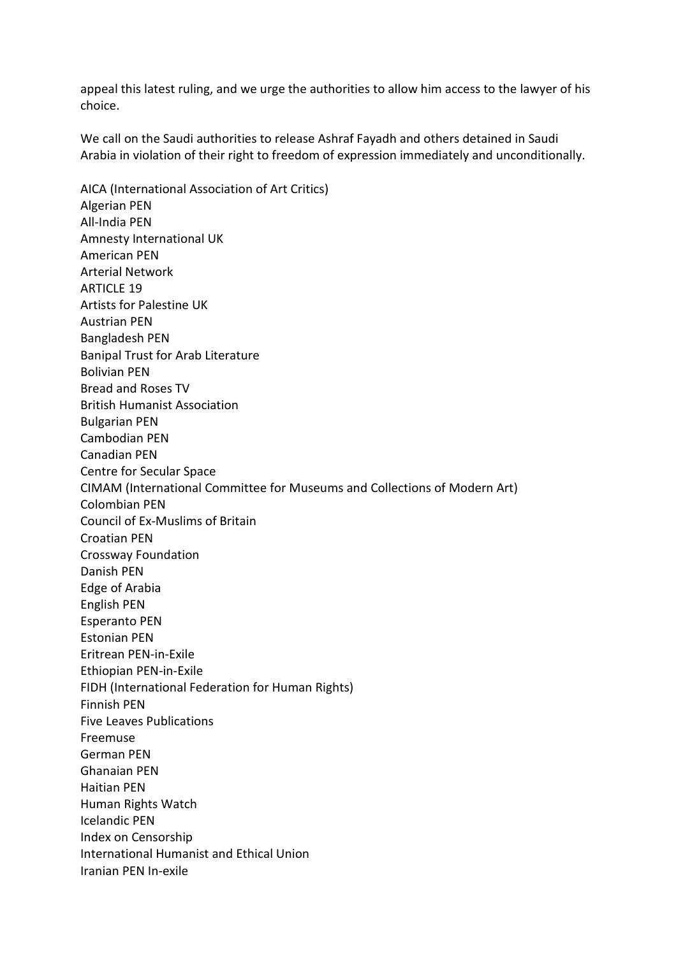appeal this latest ruling, and we urge the authorities to allow him access to the lawyer of his choice.

We call on the Saudi authorities to release Ashraf Fayadh and others detained in Saudi Arabia in violation of their right to freedom of expression immediately and unconditionally.

AICA (International Association of Art Critics) Algerian PEN All-India PEN Amnesty International UK American PEN Arterial Network ARTICLE 19 Artists for Palestine UK Austrian PEN Bangladesh PEN Banipal Trust for Arab Literature Bolivian PEN Bread and Roses TV British Humanist Association Bulgarian PEN Cambodian PEN Canadian PEN Centre for Secular Space CIMAM (International Committee for Museums and Collections of Modern Art) Colombian PEN Council of Ex-Muslims of Britain Croatian PEN Crossway Foundation Danish PEN Edge of Arabia English PEN Esperanto PEN Estonian PEN Eritrean PEN-in-Exile Ethiopian PEN-in-Exile FIDH (International Federation for Human Rights) Finnish PEN Five Leaves Publications Freemuse German PEN Ghanaian PEN Haitian PEN Human Rights Watch Icelandic PEN Index on Censorship International Humanist and Ethical Union Iranian PEN In-exile